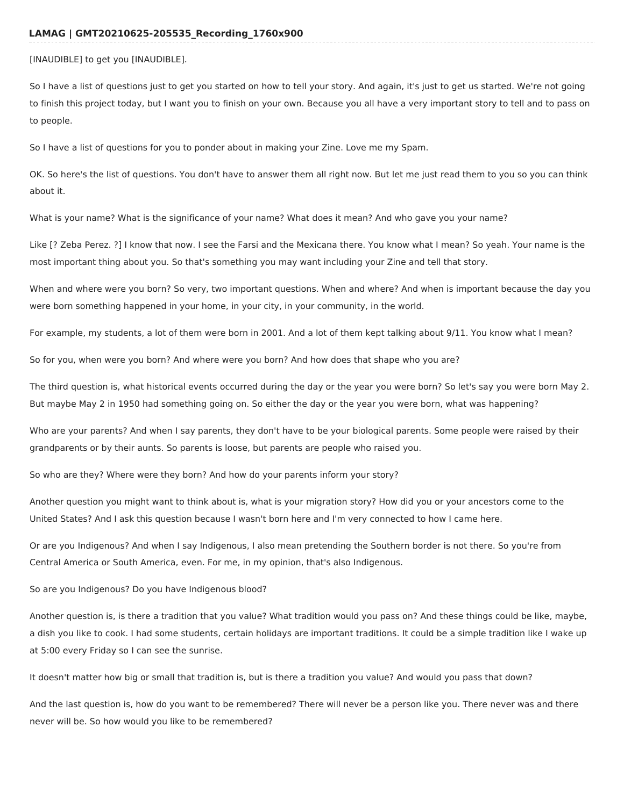## **LAMAG | GMT20210625-205535\_Recording\_1760x900**

[INAUDIBLE] to get you [INAUDIBLE].

So I have a list of questions just to get you started on how to tell your story. And again, it's just to get us started. We're not going to finish this project today, but I want you to finish on your own. Because you all have a very important story to tell and to pass on to people.

So I have a list of questions for you to ponder about in making your Zine. Love me my Spam.

OK. So here's the list of questions. You don't have to answer them all right now. But let me just read them to you so you can think about it.

What is your name? What is the significance of your name? What does it mean? And who gave you your name?

Like [? Zeba Perez. ?] I know that now. I see the Farsi and the Mexicana there. You know what I mean? So yeah. Your name is the most important thing about you. So that's something you may want including your Zine and tell that story.

When and where were you born? So very, two important questions. When and where? And when is important because the day you were born something happened in your home, in your city, in your community, in the world.

For example, my students, a lot of them were born in 2001. And a lot of them kept talking about 9/11. You know what I mean?

So for you, when were you born? And where were you born? And how does that shape who you are?

The third question is, what historical events occurred during the day or the year you were born? So let's say you were born May 2. But maybe May 2 in 1950 had something going on. So either the day or the year you were born, what was happening?

Who are your parents? And when I say parents, they don't have to be your biological parents. Some people were raised by their grandparents or by their aunts. So parents is loose, but parents are people who raised you.

So who are they? Where were they born? And how do your parents inform your story?

Another question you might want to think about is, what is your migration story? How did you or your ancestors come to the United States? And I ask this question because I wasn't born here and I'm very connected to how I came here.

Or are you Indigenous? And when I say Indigenous, I also mean pretending the Southern border is not there. So you're from Central America or South America, even. For me, in my opinion, that's also Indigenous.

So are you Indigenous? Do you have Indigenous blood?

Another question is, is there a tradition that you value? What tradition would you pass on? And these things could be like, maybe, a dish you like to cook. I had some students, certain holidays are important traditions. It could be a simple tradition like I wake up at 5:00 every Friday so I can see the sunrise.

It doesn't matter how big or small that tradition is, but is there a tradition you value? And would you pass that down?

And the last question is, how do you want to be remembered? There will never be a person like you. There never was and there never will be. So how would you like to be remembered?